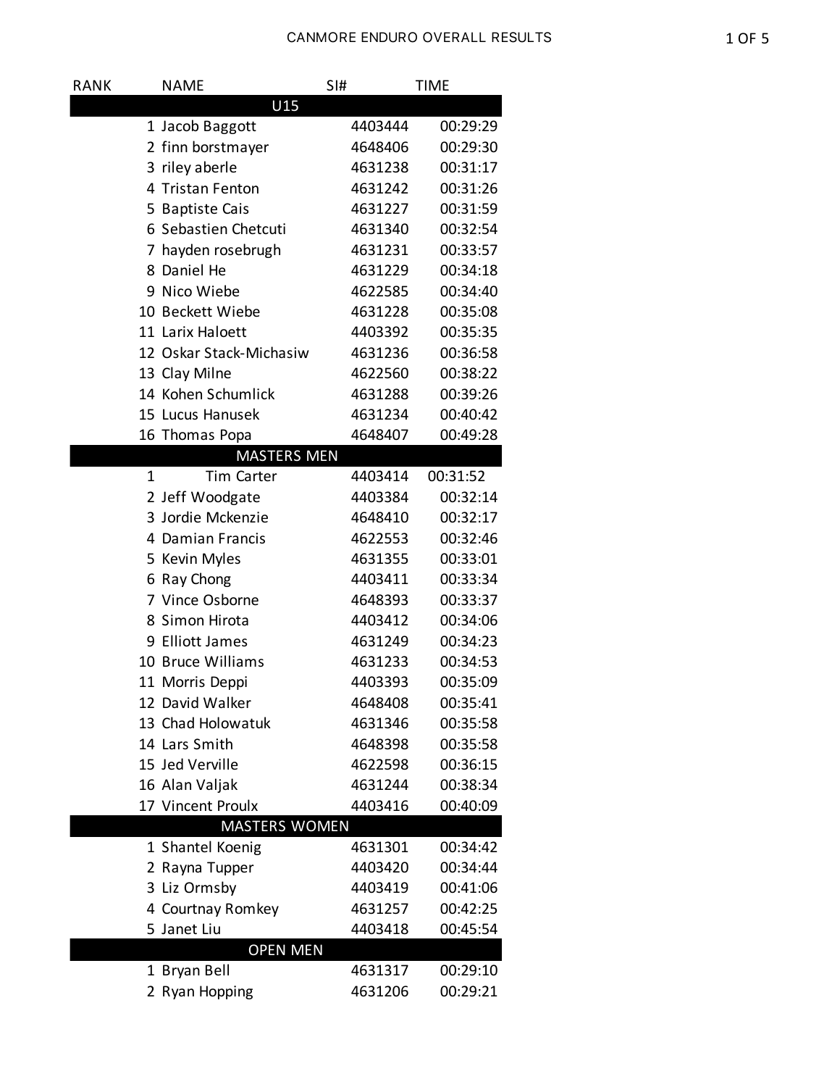| RANK                 | <b>NAME</b>             | SI#     | <b>TIME</b> |  |  |  |  |
|----------------------|-------------------------|---------|-------------|--|--|--|--|
| U15                  |                         |         |             |  |  |  |  |
|                      | 1 Jacob Baggott         | 4403444 | 00:29:29    |  |  |  |  |
|                      | 2 finn borstmayer       | 4648406 | 00:29:30    |  |  |  |  |
|                      | 3 riley aberle          | 4631238 | 00:31:17    |  |  |  |  |
|                      | 4 Tristan Fenton        | 4631242 | 00:31:26    |  |  |  |  |
|                      | 5 Baptiste Cais         | 4631227 | 00:31:59    |  |  |  |  |
|                      | 6 Sebastien Chetcuti    | 4631340 | 00:32:54    |  |  |  |  |
|                      | 7 hayden rosebrugh      | 4631231 | 00:33:57    |  |  |  |  |
|                      | 8 Daniel He             | 4631229 | 00:34:18    |  |  |  |  |
|                      | 9 Nico Wiebe            | 4622585 | 00:34:40    |  |  |  |  |
|                      | 10 Beckett Wiebe        | 4631228 | 00:35:08    |  |  |  |  |
|                      | 11 Larix Haloett        | 4403392 | 00:35:35    |  |  |  |  |
|                      | 12 Oskar Stack-Michasiw | 4631236 | 00:36:58    |  |  |  |  |
|                      | 13 Clay Milne           | 4622560 | 00:38:22    |  |  |  |  |
|                      | 14 Kohen Schumlick      | 4631288 | 00:39:26    |  |  |  |  |
|                      | 15 Lucus Hanusek        | 4631234 | 00:40:42    |  |  |  |  |
|                      | 16 Thomas Popa          | 4648407 | 00:49:28    |  |  |  |  |
|                      | <b>MASTERS MEN</b>      |         |             |  |  |  |  |
|                      | <b>Tim Carter</b><br>1  | 4403414 | 00:31:52    |  |  |  |  |
|                      | 2 Jeff Woodgate         | 4403384 | 00:32:14    |  |  |  |  |
|                      | 3 Jordie Mckenzie       | 4648410 | 00:32:17    |  |  |  |  |
|                      | 4 Damian Francis        | 4622553 | 00:32:46    |  |  |  |  |
|                      | 5 Kevin Myles           | 4631355 | 00:33:01    |  |  |  |  |
|                      | 6 Ray Chong             | 4403411 | 00:33:34    |  |  |  |  |
|                      | 7 Vince Osborne         | 4648393 | 00:33:37    |  |  |  |  |
|                      | 8 Simon Hirota          | 4403412 | 00:34:06    |  |  |  |  |
|                      | 9 Elliott James         | 4631249 | 00:34:23    |  |  |  |  |
|                      | 10 Bruce Williams       | 4631233 | 00:34:53    |  |  |  |  |
|                      | 11 Morris Deppi         | 4403393 | 00:35:09    |  |  |  |  |
|                      | 12 David Walker         | 4648408 | 00:35:41    |  |  |  |  |
|                      | 13 Chad Holowatuk       | 4631346 | 00:35:58    |  |  |  |  |
|                      | 14 Lars Smith           | 4648398 | 00:35:58    |  |  |  |  |
|                      | 15 Jed Verville         | 4622598 | 00:36:15    |  |  |  |  |
|                      | 16 Alan Valjak          | 4631244 | 00:38:34    |  |  |  |  |
|                      | 17 Vincent Proulx       | 4403416 | 00:40:09    |  |  |  |  |
| <b>MASTERS WOMEN</b> |                         |         |             |  |  |  |  |
|                      | 1 Shantel Koenig        | 4631301 | 00:34:42    |  |  |  |  |
|                      | 2 Rayna Tupper          | 4403420 | 00:34:44    |  |  |  |  |
|                      | 3 Liz Ormsby            | 4403419 | 00:41:06    |  |  |  |  |
|                      | 4 Courtnay Romkey       | 4631257 | 00:42:25    |  |  |  |  |
|                      | Janet Liu<br>5.         | 4403418 | 00:45:54    |  |  |  |  |
| <b>OPEN MEN</b>      |                         |         |             |  |  |  |  |
|                      | 1 Bryan Bell            | 4631317 | 00:29:10    |  |  |  |  |
|                      | 2 Ryan Hopping          | 4631206 | 00:29:21    |  |  |  |  |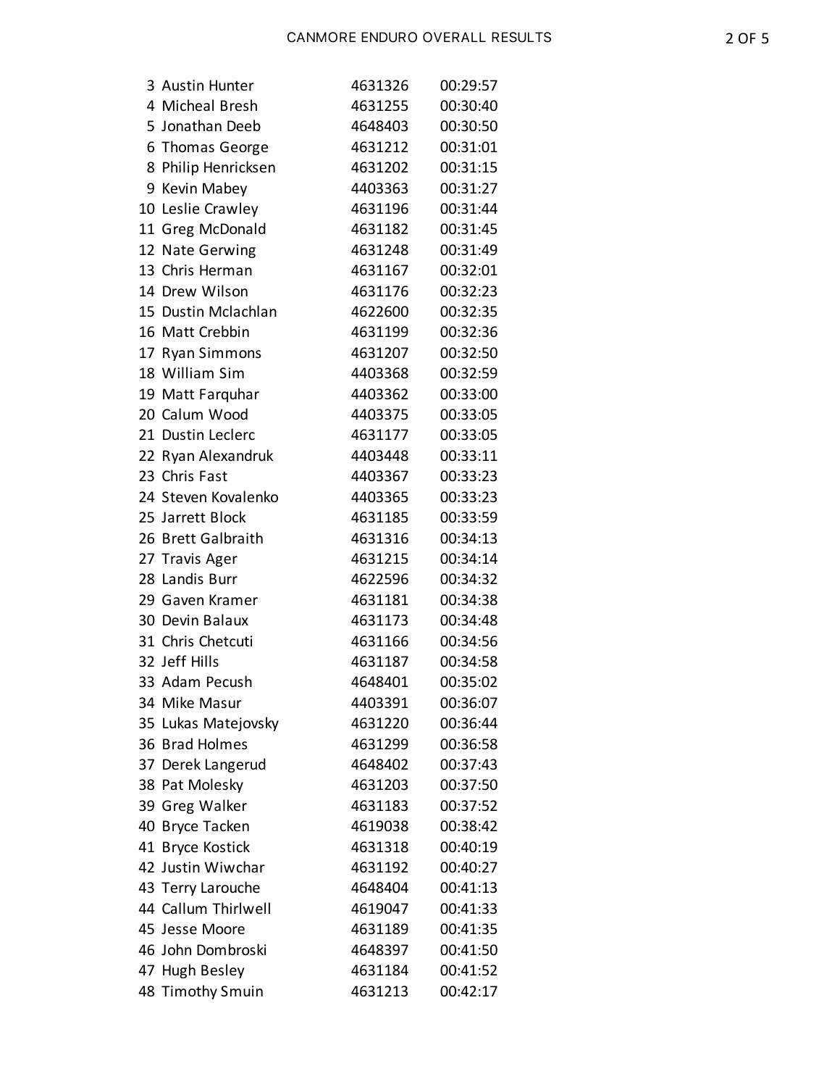| 3 Austin Hunter     | 4631326 | 00:29:57 |
|---------------------|---------|----------|
| 4 Micheal Bresh     | 4631255 | 00:30:40 |
| 5 Jonathan Deeb     | 4648403 | 00:30:50 |
| 6 Thomas George     | 4631212 | 00:31:01 |
| 8 Philip Henricksen | 4631202 | 00:31:15 |
| 9 Kevin Mabey       | 4403363 | 00:31:27 |
| 10 Leslie Crawley   | 4631196 | 00:31:44 |
| 11 Greg McDonald    | 4631182 | 00:31:45 |
| 12 Nate Gerwing     | 4631248 | 00:31:49 |
| 13 Chris Herman     | 4631167 | 00:32:01 |
| 14 Drew Wilson      | 4631176 | 00:32:23 |
| 15 Dustin Mclachlan | 4622600 | 00:32:35 |
| 16 Matt Crebbin     | 4631199 | 00:32:36 |
| 17 Ryan Simmons     | 4631207 | 00:32:50 |
| 18 William Sim      | 4403368 | 00:32:59 |
| 19 Matt Farquhar    | 4403362 | 00:33:00 |
| 20 Calum Wood       | 4403375 | 00:33:05 |
| 21 Dustin Leclerc   | 4631177 | 00:33:05 |
| 22 Ryan Alexandruk  | 4403448 | 00:33:11 |
| 23 Chris Fast       | 4403367 | 00:33:23 |
| 24 Steven Kovalenko | 4403365 | 00:33:23 |
| 25 Jarrett Block    | 4631185 | 00:33:59 |
| 26 Brett Galbraith  | 4631316 | 00:34:13 |
| 27 Travis Ager      | 4631215 | 00:34:14 |
| 28 Landis Burr      | 4622596 | 00:34:32 |
| 29 Gaven Kramer     | 4631181 | 00:34:38 |
| 30 Devin Balaux     | 4631173 | 00:34:48 |
| 31 Chris Chetcuti   | 4631166 | 00:34:56 |
| 32 Jeff Hills       | 4631187 | 00:34:58 |
| 33 Adam Pecush      | 4648401 | 00:35:02 |
| 34 Mike Masur       | 4403391 | 00:36:07 |
| 35 Lukas Matejovsky | 4631220 | 00:36:44 |
| 36 Brad Holmes      | 4631299 | 00:36:58 |
| 37 Derek Langerud   | 4648402 | 00:37:43 |
| 38 Pat Molesky      | 4631203 | 00:37:50 |
| 39 Greg Walker      | 4631183 | 00:37:52 |
| 40 Bryce Tacken     | 4619038 | 00:38:42 |
| 41 Bryce Kostick    | 4631318 | 00:40:19 |
| 42 Justin Wiwchar   | 4631192 | 00:40:27 |
| 43 Terry Larouche   | 4648404 | 00:41:13 |
| 44 Callum Thirlwell | 4619047 | 00:41:33 |
| 45 Jesse Moore      | 4631189 | 00:41:35 |
| 46 John Dombroski   | 4648397 | 00:41:50 |
| 47 Hugh Besley      | 4631184 | 00:41:52 |
| 48 Timothy Smuin    | 4631213 | 00:42:17 |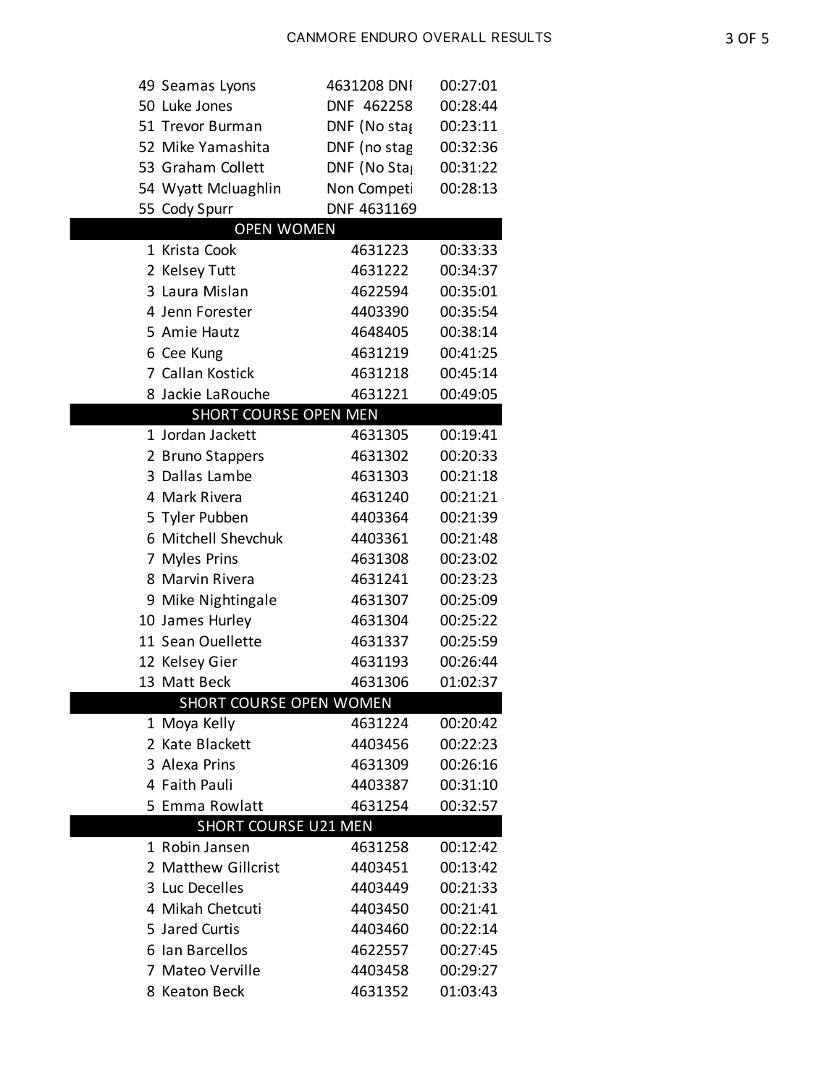| 49 Seamas Lyons                               | 4631208 DNI                 | 00:27:01 |
|-----------------------------------------------|-----------------------------|----------|
| 50 Luke Jones                                 | DNF 462258                  | 00:28:44 |
| 51 Trevor Burman                              | $DNF$ (No sta $\mathfrak g$ | 00:23:11 |
| 52 Mike Yamashita                             | DNF (no stag                | 00:32:36 |
| 53 Graham Collett                             | DNF (No Sta                 | 00:31:22 |
| 54 Wyatt Mcluaghlin                           | Non Competi                 | 00:28:13 |
| 55 Cody Spurr                                 | DNF 4631169                 |          |
| <b>OPEN WOMEN</b>                             |                             |          |
| 1 Krista Cook                                 | 4631223                     | 00:33:33 |
| 2 Kelsey Tutt                                 | 4631222                     | 00:34:37 |
| 3 Laura Mislan                                | 4622594                     | 00:35:01 |
| 4 Jenn Forester                               | 4403390                     | 00:35:54 |
| 5 Amie Hautz                                  | 4648405                     | 00:38:14 |
| 6 Cee Kung                                    | 4631219                     | 00:41:25 |
| 7 Callan Kostick                              | 4631218                     | 00:45:14 |
| 8 Jackie LaRouche                             | 4631221                     | 00:49:05 |
| SHORT COURSE OPEN MEN                         |                             |          |
| 1 Jordan Jackett                              | 4631305                     | 00:19:41 |
| 2 Bruno Stappers                              | 4631302                     | 00:20:33 |
| 3 Dallas Lambe                                | 4631303                     | 00:21:18 |
| 4 Mark Rivera                                 | 4631240                     | 00:21:21 |
| 5 Tyler Pubben                                | 4403364                     | 00:21:39 |
| 6 Mitchell Shevchuk                           | 4403361                     | 00:21:48 |
| 7 Myles Prins                                 | 4631308                     | 00:23:02 |
| 8 Marvin Rivera                               | 4631241                     | 00:23:23 |
| 9 Mike Nightingale                            | 4631307                     | 00:25:09 |
| 10 James Hurley                               | 4631304                     | 00:25:22 |
| 11 Sean Ouellette                             | 4631337                     | 00:25:59 |
| 12 Kelsey Gier                                | 4631193                     | 00:26:44 |
| 13 Matt Beck                                  | 4631306                     | 01:02:37 |
| SHORT COURSE OPEN WOMEN                       |                             |          |
| 1 Moya Kelly                                  | 4631224                     | 00:20:42 |
| 2 Kate Blackett                               | 4403456                     | 00:22:23 |
| 3 Alexa Prins                                 | 4631309                     | 00:26:16 |
| 4 Faith Pauli                                 | 4403387                     | 00:31:10 |
| 5 Emma Rowlatt                                | 4631254                     | 00:32:57 |
| <b>SHORT COURSE U21 MEN</b><br>1 Robin Jansen | 4631258                     | 00:12:42 |
| 2 Matthew Gillcrist                           | 4403451                     | 00:13:42 |
| 3 Luc Decelles                                | 4403449                     | 00:21:33 |
| 4 Mikah Chetcuti                              | 4403450                     | 00:21:41 |
| 5 Jared Curtis                                | 4403460                     | 00:22:14 |
| 6 Ian Barcellos                               | 4622557                     | 00:27:45 |
| 7 Mateo Verville                              | 4403458                     | 00:29:27 |
| 8 Keaton Beck                                 | 4631352                     | 01:03:43 |
|                                               |                             |          |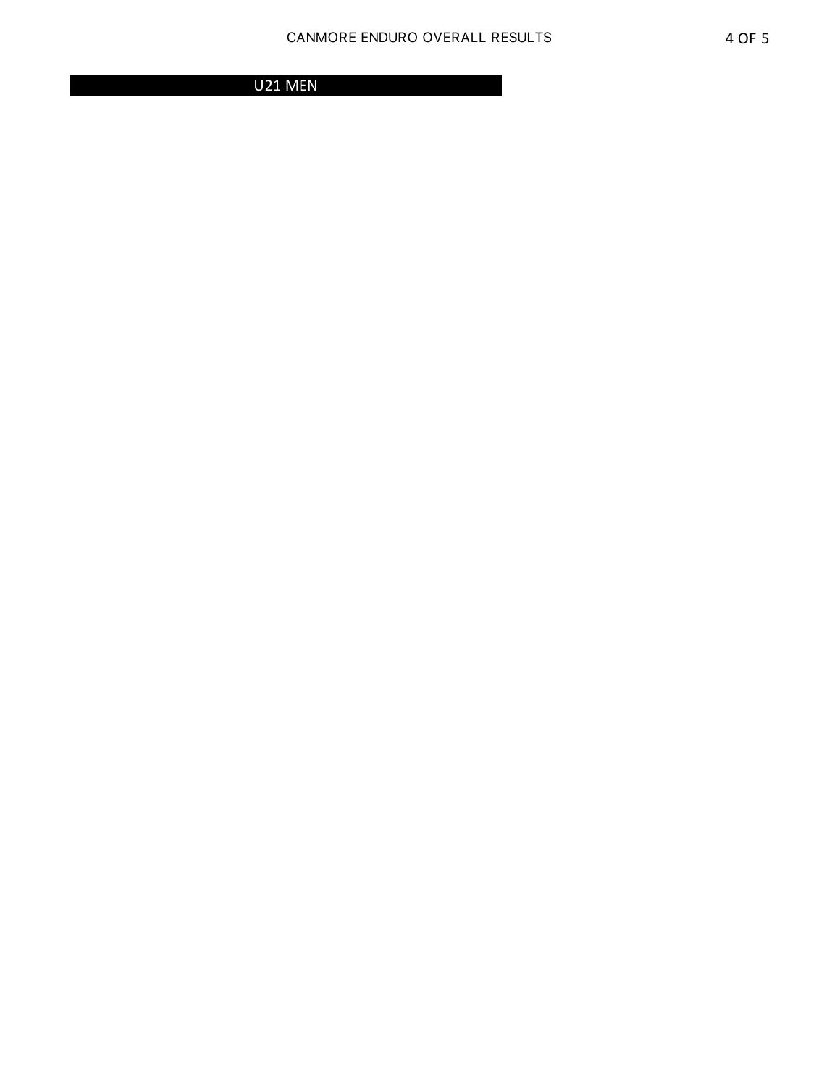U21 MEN